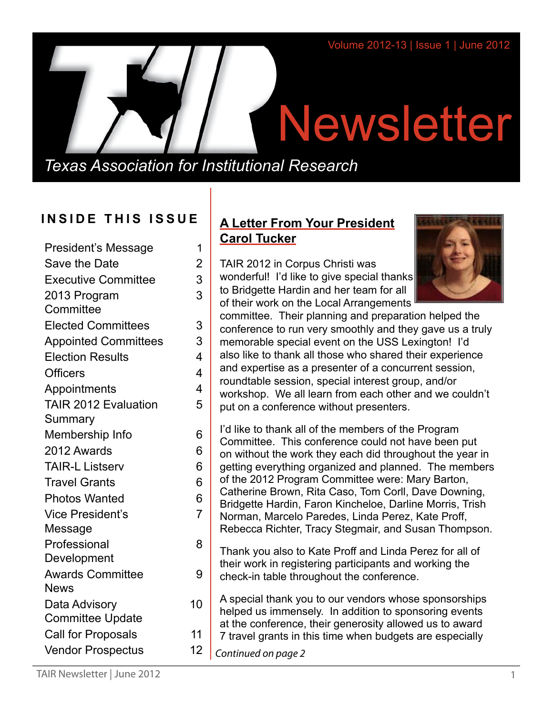# Newsletter

*Texas Association for Institutional Research*

# **INSIDE THIS ISSUE**

| <b>President's Message</b>  | 1                        |
|-----------------------------|--------------------------|
| Save the Date               | $\overline{2}$           |
| <b>Executive Committee</b>  | 3                        |
| 2013 Program                | 3                        |
| Committee                   |                          |
| <b>Elected Committees</b>   | 3                        |
| <b>Appointed Committees</b> | 3                        |
| <b>Election Results</b>     | 4                        |
| <b>Officers</b>             | $\overline{\mathbf{4}}$  |
| Appointments                | $\overline{\mathcal{A}}$ |
| <b>TAIR 2012 Evaluation</b> | 5                        |
| Summary                     |                          |
| Membership Info             | 6                        |
| 2012 Awards                 | 6                        |
| <b>TAIR-L Listserv</b>      | 6                        |
| <b>Travel Grants</b>        | 6                        |
| <b>Photos Wanted</b>        | 6                        |
| <b>Vice President's</b>     | $\overline{7}$           |
| Message                     |                          |
| Professional                | 8                        |
| Development                 |                          |
| <b>Awards Committee</b>     | 9                        |
| <b>News</b>                 |                          |
| Data Advisory               | 10                       |
| <b>Committee Update</b>     |                          |
| Call for Proposals          | 11                       |
| <b>Vendor Prospectus</b>    | 12                       |

# **A Letter From Your President Carol Tucker**

TAIR 2012 in Corpus Christi was wonderful! I'd like to give special thanks to Bridgette Hardin and her team for all of their work on the Local Arrangements



committee. Their planning and preparation helped the conference to run very smoothly and they gave us a truly memorable special event on the USS Lexington! I'd also like to thank all those who shared their experience and expertise as a presenter of a concurrent session, roundtable session, special interest group, and/or workshop. We all learn from each other and we couldn't put on a conference without presenters.

I'd like to thank all of the members of the Program Committee. This conference could not have been put on without the work they each did throughout the year in getting everything organized and planned. The members of the 2012 Program Committee were: Mary Barton, Catherine Brown, Rita Caso, Tom Corll, Dave Downing, Bridgette Hardin, Faron Kincheloe, Darline Morris, Trish Norman, Marcelo Paredes, Linda Perez, Kate Proff, Rebecca Richter, Tracy Stegmair, and Susan Thompson.

Thank you also to Kate Proff and Linda Perez for all of their work in registering participants and working the check-in table throughout the conference.

A special thank you to our vendors whose sponsorships helped us immensely. In addition to sponsoring events at the conference, their generosity allowed us to award 7 travel grants in this time when budgets are especially

*Continued on page 2*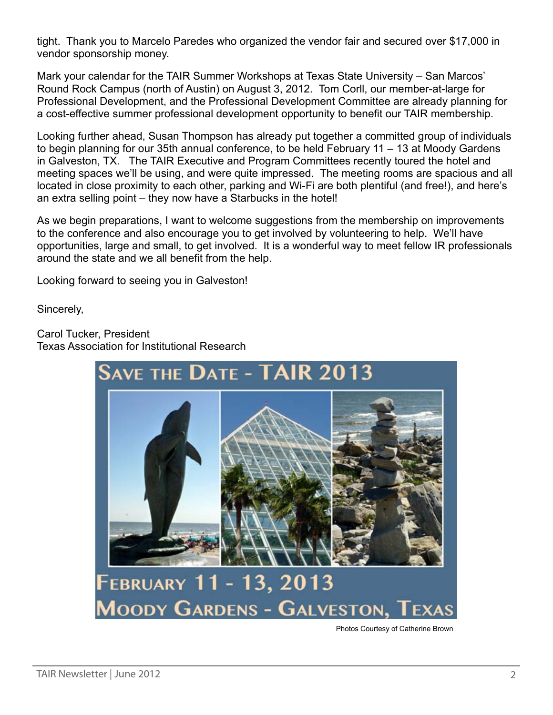tight. Thank you to Marcelo Paredes who organized the vendor fair and secured over \$17,000 in vendor sponsorship money.

Mark your calendar for the TAIR Summer Workshops at Texas State University – San Marcos' Round Rock Campus (north of Austin) on August 3, 2012. Tom Corll, our member-at-large for Professional Development, and the Professional Development Committee are already planning for a cost-effective summer professional development opportunity to benefit our TAIR membership.

Looking further ahead, Susan Thompson has already put together a committed group of individuals to begin planning for our 35th annual conference, to be held February 11 – 13 at Moody Gardens in Galveston, TX. The TAIR Executive and Program Committees recently toured the hotel and meeting spaces we'll be using, and were quite impressed. The meeting rooms are spacious and all located in close proximity to each other, parking and Wi-Fi are both plentiful (and free!), and here's an extra selling point – they now have a Starbucks in the hotel!

As we begin preparations, I want to welcome suggestions from the membership on improvements to the conference and also encourage you to get involved by volunteering to help. We'll have opportunities, large and small, to get involved. It is a wonderful way to meet fellow IR professionals around the state and we all benefit from the help.

Looking forward to seeing you in Galveston!

Sincerely,

Carol Tucker, President Texas Association for Institutional Research



Photos Courtesy of Catherine Brown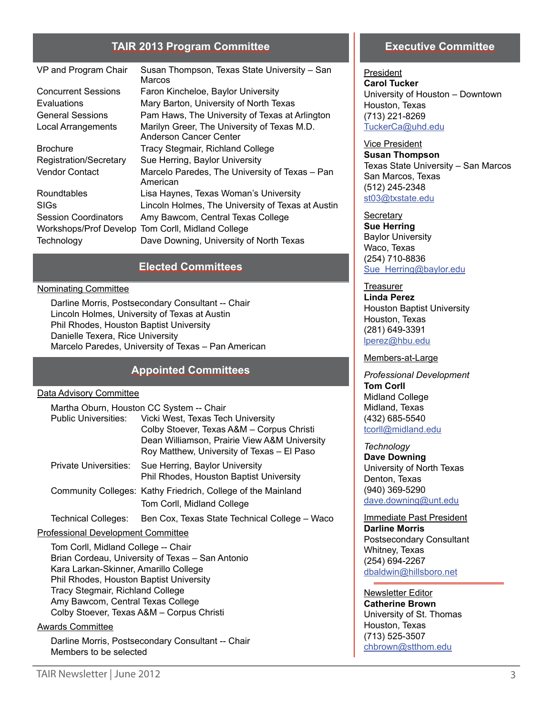#### **TAIR 2013 Program Committee**

| VP and Program Chair        | Susan Thompson, Texas State University - San<br>Marcos                |
|-----------------------------|-----------------------------------------------------------------------|
| <b>Concurrent Sessions</b>  | Faron Kincheloe, Baylor University                                    |
| Evaluations                 | Mary Barton, University of North Texas                                |
| <b>General Sessions</b>     | Pam Haws, The University of Texas at Arlington                        |
| <b>Local Arrangements</b>   | Marilyn Greer, The University of Texas M.D.<br>Anderson Cancer Center |
| <b>Brochure</b>             | Tracy Stegmair, Richland College                                      |
| Registration/Secretary      | Sue Herring, Baylor University                                        |
| Vendor Contact              | Marcelo Paredes, The University of Texas - Pan<br>American            |
| Roundtables                 | Lisa Haynes, Texas Woman's University                                 |
| SIGs                        | Lincoln Holmes, The University of Texas at Austin                     |
| <b>Session Coordinators</b> | Amy Bawcom, Central Texas College                                     |
| Workshops/Prof Develop      | Tom Corll, Midland College                                            |
| Technology                  | Dave Downing, University of North Texas                               |

#### **Elected Committees**

#### Nominating Committee

Darline Morris, Postsecondary Consultant -- Chair Lincoln Holmes, University of Texas at Austin Phil Rhodes, Houston Baptist University Danielle Texera, Rice University Marcelo Paredes, University of Texas – Pan American

#### **Appointed Committees**

#### Data Advisory Committee

| Martha Oburn, Houston CC System -- Chair |                                                              |  |  |  |
|------------------------------------------|--------------------------------------------------------------|--|--|--|
| <b>Public Universities:</b>              | Vicki West, Texas Tech University                            |  |  |  |
|                                          | Colby Stoever, Texas A&M - Corpus Christi                    |  |  |  |
|                                          | Dean Williamson, Prairie View A&M University                 |  |  |  |
|                                          | Roy Matthew, University of Texas - El Paso                   |  |  |  |
| Private Universities:                    | Sue Herring, Baylor University                               |  |  |  |
|                                          | Phil Rhodes, Houston Baptist University                      |  |  |  |
|                                          | Community Colleges: Kathy Friedrich, College of the Mainland |  |  |  |
|                                          | Tom Corll, Midland College                                   |  |  |  |
|                                          |                                                              |  |  |  |

Technical Colleges: Ben Cox, Texas State Technical College – Waco

#### Professional Development Committee

Tom Corll, Midland College -- Chair Brian Cordeau, University of Texas – San Antonio Kara Larkan-Skinner, Amarillo College Phil Rhodes, Houston Baptist University Tracy Stegmair, Richland College Amy Bawcom, Central Texas College Colby Stoever, Texas A&M – Corpus Christi

#### Awards Committee

Darline Morris, Postsecondary Consultant -- Chair Members to be selected

#### **Executive Committee**

President **Carol Tucker** University of Houston – Downtown Houston, Texas (713) 221-8269 [TuckerCa@uhd.edu](mailto:TuckerCa%40uhd.edu?subject=)

Vice President **Susan Thompson** Texas State University – San Marcos San Marcos, Texas (512) 245-2348 [st03@txstate.edu](mailto:st03%40txstate.edu?subject=)

**Secretary Sue Herring** Baylor University Waco, Texas (254) 710-8836 Sue Herring@baylor.edu

**Treasurer Linda Perez** Houston Baptist University Houston, Texas (281) 649-3391 [lperez@hbu.edu](mailto:lperez%40hbu.edu?subject=)

#### Members-at-Large

*Professional Development*  **Tom Corll** Midland College Midland, Texas (432) 685-5540 [tcorll@midland.edu](mailto:tcorll%40midland.edu?subject=)

*Technology* **Dave Downing** University of North Texas Denton, Texas (940) 369-5290 [dave.downing@unt.edu](mailto:dave.downing%40unt.edu?subject=)

Immediate Past President **Darline Morris** Postsecondary Consultant Whitney, Texas (254) 694-2267 [dbaldwin@hillsboro.net](mailto:dbalwin%40hillsboro.net?subject=)

Newsletter Editor **Catherine Brown** University of St. Thomas Houston, Texas (713) 525-3507 [chbrown@stthom.edu](mailto:chbrown%40stthom.edu?subject=)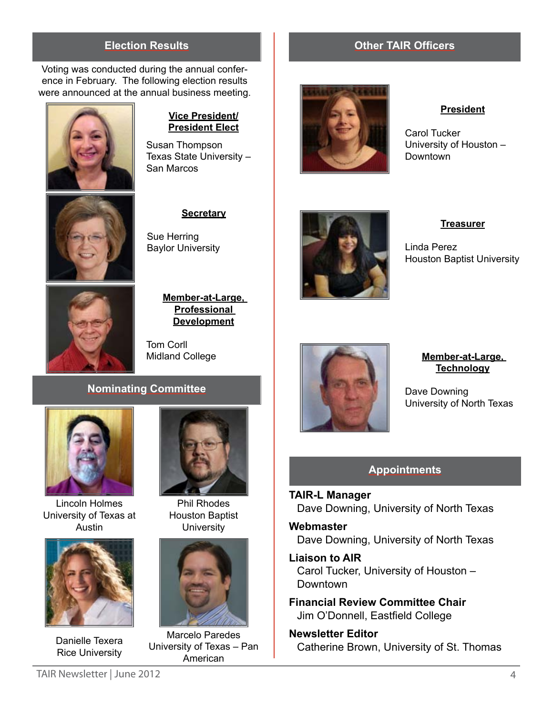Voting was conducted during the annual conference in February. The following election results were announced at the annual business meeting.



#### **Vice President/ President Elect**

Susan Thompson Texas State University – San Marcos



#### **Secretary**

Sue Herring Baylor University



#### **Member-at-Large, Professional Development**

Tom Corll Midland College

#### **Nominating Committee**



Lincoln Holmes University of Texas at Austin



Danielle Texera Rice University



Phil Rhodes Houston Baptist **University** 



Marcelo Paredes University of Texas – Pan American



### **Election Results Other TAIR Officers**



#### **President**

Carol Tucker University of Houston – Downtown



**Treasurer**

Linda Perez Houston Baptist University



#### **Member-at-Large, Technology**

Dave Downing University of North Texas

#### **Appointments**

**TAIR-L Manager** Dave Downing, University of North Texas

**Webmaster** Dave Downing, University of North Texas

**Liaison to AIR** Carol Tucker, University of Houston – **Downtown** 

**Financial Review Committee Chair** Jim O'Donnell, Eastfield College

**Newsletter Editor** Catherine Brown, University of St. Thomas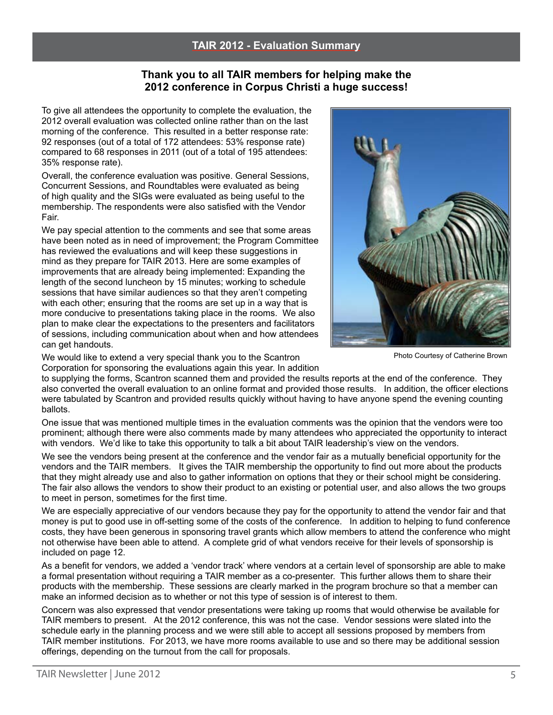#### **Thank you to all TAIR members for helping make the 2012 conference in Corpus Christi a huge success!**

To give all attendees the opportunity to complete the evaluation, the 2012 overall evaluation was collected online rather than on the last morning of the conference. This resulted in a better response rate: 92 responses (out of a total of 172 attendees: 53% response rate) compared to 68 responses in 2011 (out of a total of 195 attendees: 35% response rate).

Overall, the conference evaluation was positive. General Sessions, Concurrent Sessions, and Roundtables were evaluated as being of high quality and the SIGs were evaluated as being useful to the membership. The respondents were also satisfied with the Vendor Fair.

We pay special attention to the comments and see that some areas have been noted as in need of improvement; the Program Committee has reviewed the evaluations and will keep these suggestions in mind as they prepare for TAIR 2013. Here are some examples of improvements that are already being implemented: Expanding the length of the second luncheon by 15 minutes; working to schedule sessions that have similar audiences so that they aren't competing with each other; ensuring that the rooms are set up in a way that is more conducive to presentations taking place in the rooms. We also plan to make clear the expectations to the presenters and facilitators of sessions, including communication about when and how attendees can get handouts.

We would like to extend a very special thank you to the Scantron Corporation for sponsoring the evaluations again this year. In addition

Photo Courtesy of Catherine Brown

to supplying the forms, Scantron scanned them and provided the results reports at the end of the conference. They also converted the overall evaluation to an online format and provided those results. In addition, the officer elections were tabulated by Scantron and provided results quickly without having to have anyone spend the evening counting ballots.

One issue that was mentioned multiple times in the evaluation comments was the opinion that the vendors were too prominent; although there were also comments made by many attendees who appreciated the opportunity to interact with vendors. We'd like to take this opportunity to talk a bit about TAIR leadership's view on the vendors.

We see the vendors being present at the conference and the vendor fair as a mutually beneficial opportunity for the vendors and the TAIR members. It gives the TAIR membership the opportunity to find out more about the products that they might already use and also to gather information on options that they or their school might be considering. The fair also allows the vendors to show their product to an existing or potential user, and also allows the two groups to meet in person, sometimes for the first time.

We are especially appreciative of our vendors because they pay for the opportunity to attend the vendor fair and that money is put to good use in off-setting some of the costs of the conference. In addition to helping to fund conference costs, they have been generous in sponsoring travel grants which allow members to attend the conference who might not otherwise have been able to attend. A complete grid of what vendors receive for their levels of sponsorship is included on page 12.

As a benefit for vendors, we added a 'vendor track' where vendors at a certain level of sponsorship are able to make a formal presentation without requiring a TAIR member as a co-presenter. This further allows them to share their products with the membership. These sessions are clearly marked in the program brochure so that a member can make an informed decision as to whether or not this type of session is of interest to them.

Concern was also expressed that vendor presentations were taking up rooms that would otherwise be available for TAIR members to present. At the 2012 conference, this was not the case. Vendor sessions were slated into the schedule early in the planning process and we were still able to accept all sessions proposed by members from TAIR member institutions. For 2013, we have more rooms available to use and so there may be additional session offerings, depending on the turnout from the call for proposals.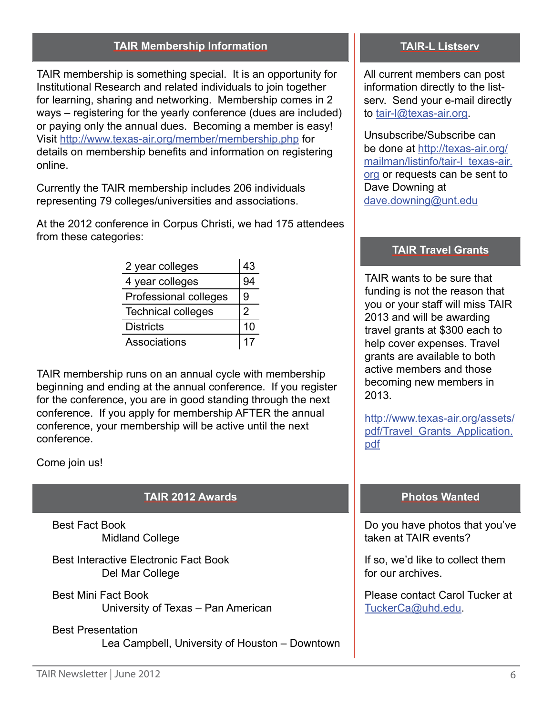#### **TAIR Membership Information TAIR-L Listserv**

TAIR membership is something special. It is an opportunity for Institutional Research and related individuals to join together for learning, sharing and networking. Membership comes in 2 ways – registering for the yearly conference (dues are included) or paying only the annual dues. Becoming a member is easy! Visit<http://www.texas-air.org/member/membership.php> for details on membership benefits and information on registering online.

Currently the TAIR membership includes 206 individuals representing 79 colleges/universities and associations.

At the 2012 conference in Corpus Christi, we had 175 attendees from these categories:

| 2 year colleges           | 43 |
|---------------------------|----|
| 4 year colleges           | 94 |
| Professional colleges     | 9  |
| <b>Technical colleges</b> | 2  |
| <b>Districts</b>          | 10 |
| Associations              | 17 |

TAIR membership runs on an annual cycle with membership beginning and ending at the annual conference. If you register for the conference, you are in good standing through the next conference. If you apply for membership AFTER the annual conference, your membership will be active until the next conference.

Come join us!

#### **TAIR 2012 Awards**

Best Fact Book Midland College

Best Interactive Electronic Fact Book Del Mar College

- Best Mini Fact Book University of Texas – Pan American
- Best Presentation Lea Campbell, University of Houston – Downtown

All current members can post information directly to the listserv. Send your e-mail directly to [tair-l@texas-air.org.](mailto:tair-l%40texas-air.org?subject=)

Unsubscribe/Subscribe can be done at [http://texas-air.org/](http://texas-air.org/mailman/listinfo/tair-l_texas-air.org) [mailman/listinfo/tair-l\\_texas-air.](http://texas-air.org/mailman/listinfo/tair-l_texas-air.org) [org](http://texas-air.org/mailman/listinfo/tair-l_texas-air.org) or requests can be sent to Dave Downing at [dave.downing@unt.edu](mailto:dave.downing%40unt.edu?subject=)

#### **TAIR Travel Grants**

TAIR wants to be sure that funding is not the reason that you or your staff will miss TAIR 2013 and will be awarding travel grants at \$300 each to help cover expenses. Travel grants are available to both active members and those becoming new members in 2013.

[http://www.texas-air.org/assets/](http://www.texas-air.org/assets/pdf/Travel_Grants_Application.pdf) [pdf/Travel\\_Grants\\_Application.](http://www.texas-air.org/assets/pdf/Travel_Grants_Application.pdf) [pdf](http://www.texas-air.org/assets/pdf/Travel_Grants_Application.pdf)

#### **Photos Wanted**

Do you have photos that you've taken at TAIR events?

If so, we'd like to collect them for our archives.

Please contact Carol Tucker at [TuckerCa@uhd.edu.](mailto:TuckerCa%40uhd.edu?subject=)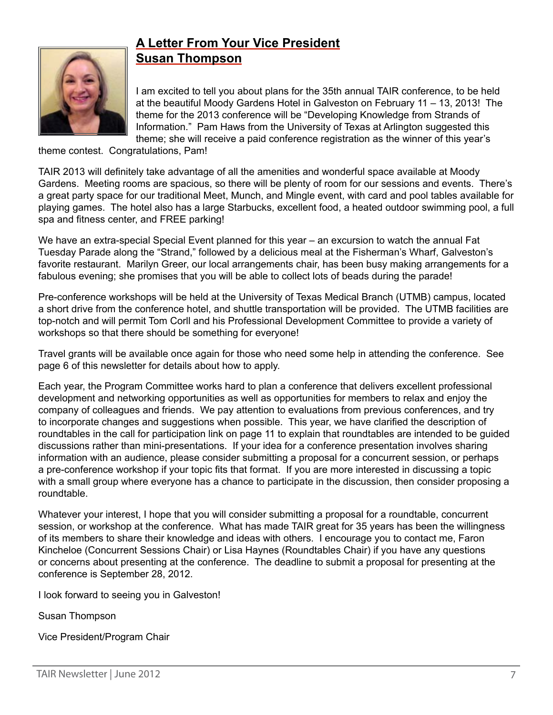

# **A Letter From Your Vice President Susan Thompson**

I am excited to tell you about plans for the 35th annual TAIR conference, to be held at the beautiful Moody Gardens Hotel in Galveston on February 11 – 13, 2013! The theme for the 2013 conference will be "Developing Knowledge from Strands of Information." Pam Haws from the University of Texas at Arlington suggested this theme; she will receive a paid conference registration as the winner of this year's

theme contest. Congratulations, Pam!

TAIR 2013 will definitely take advantage of all the amenities and wonderful space available at Moody Gardens. Meeting rooms are spacious, so there will be plenty of room for our sessions and events. There's a great party space for our traditional Meet, Munch, and Mingle event, with card and pool tables available for playing games. The hotel also has a large Starbucks, excellent food, a heated outdoor swimming pool, a full spa and fitness center, and FREE parking!

We have an extra-special Special Event planned for this year – an excursion to watch the annual Fat Tuesday Parade along the "Strand," followed by a delicious meal at the Fisherman's Wharf, Galveston's favorite restaurant. Marilyn Greer, our local arrangements chair, has been busy making arrangements for a fabulous evening; she promises that you will be able to collect lots of beads during the parade!

Pre-conference workshops will be held at the University of Texas Medical Branch (UTMB) campus, located a short drive from the conference hotel, and shuttle transportation will be provided. The UTMB facilities are top-notch and will permit Tom Corll and his Professional Development Committee to provide a variety of workshops so that there should be something for everyone!

Travel grants will be available once again for those who need some help in attending the conference. See page 6 of this newsletter for details about how to apply.

Each year, the Program Committee works hard to plan a conference that delivers excellent professional development and networking opportunities as well as opportunities for members to relax and enjoy the company of colleagues and friends. We pay attention to evaluations from previous conferences, and try to incorporate changes and suggestions when possible. This year, we have clarified the description of roundtables in the call for participation link on page 11 to explain that roundtables are intended to be guided discussions rather than mini-presentations. If your idea for a conference presentation involves sharing information with an audience, please consider submitting a proposal for a concurrent session, or perhaps a pre-conference workshop if your topic fits that format. If you are more interested in discussing a topic with a small group where everyone has a chance to participate in the discussion, then consider proposing a roundtable.

Whatever your interest, I hope that you will consider submitting a proposal for a roundtable, concurrent session, or workshop at the conference. What has made TAIR great for 35 years has been the willingness of its members to share their knowledge and ideas with others. I encourage you to contact me, Faron Kincheloe (Concurrent Sessions Chair) or Lisa Haynes (Roundtables Chair) if you have any questions or concerns about presenting at the conference. The deadline to submit a proposal for presenting at the conference is September 28, 2012.

I look forward to seeing you in Galveston!

Susan Thompson

Vice President/Program Chair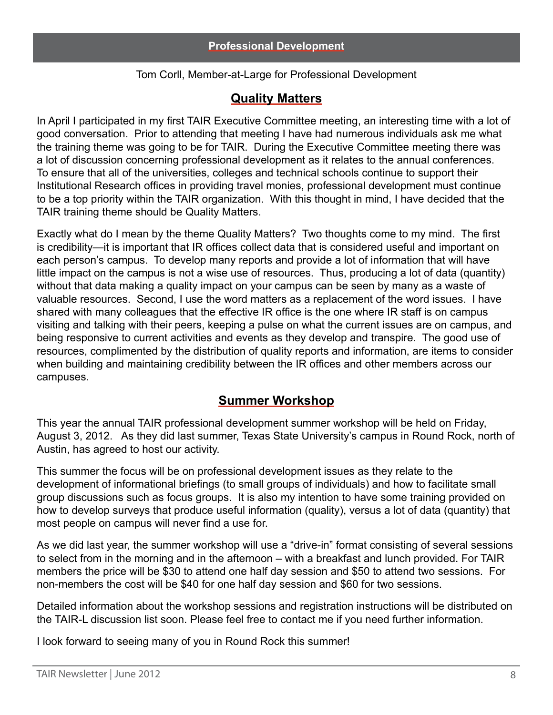## Tom Corll, Member-at-Large for Professional Development

# **Quality Matters**

In April I participated in my first TAIR Executive Committee meeting, an interesting time with a lot of good conversation. Prior to attending that meeting I have had numerous individuals ask me what the training theme was going to be for TAIR. During the Executive Committee meeting there was a lot of discussion concerning professional development as it relates to the annual conferences. To ensure that all of the universities, colleges and technical schools continue to support their Institutional Research offices in providing travel monies, professional development must continue to be a top priority within the TAIR organization. With this thought in mind, I have decided that the TAIR training theme should be Quality Matters.

Exactly what do I mean by the theme Quality Matters? Two thoughts come to my mind. The first is credibility—it is important that IR offices collect data that is considered useful and important on each person's campus. To develop many reports and provide a lot of information that will have little impact on the campus is not a wise use of resources. Thus, producing a lot of data (quantity) without that data making a quality impact on your campus can be seen by many as a waste of valuable resources. Second, I use the word matters as a replacement of the word issues. I have shared with many colleagues that the effective IR office is the one where IR staff is on campus visiting and talking with their peers, keeping a pulse on what the current issues are on campus, and being responsive to current activities and events as they develop and transpire. The good use of resources, complimented by the distribution of quality reports and information, are items to consider when building and maintaining credibility between the IR offices and other members across our campuses.

# **Summer Workshop**

This year the annual TAIR professional development summer workshop will be held on Friday, August 3, 2012. As they did last summer, Texas State University's campus in Round Rock, north of Austin, has agreed to host our activity.

This summer the focus will be on professional development issues as they relate to the development of informational briefings (to small groups of individuals) and how to facilitate small group discussions such as focus groups. It is also my intention to have some training provided on how to develop surveys that produce useful information (quality), versus a lot of data (quantity) that most people on campus will never find a use for.

As we did last year, the summer workshop will use a "drive-in" format consisting of several sessions to select from in the morning and in the afternoon – with a breakfast and lunch provided. For TAIR members the price will be \$30 to attend one half day session and \$50 to attend two sessions. For non-members the cost will be \$40 for one half day session and \$60 for two sessions.

Detailed information about the workshop sessions and registration instructions will be distributed on the TAIR-L discussion list soon. Please feel free to contact me if you need further information.

I look forward to seeing many of you in Round Rock this summer!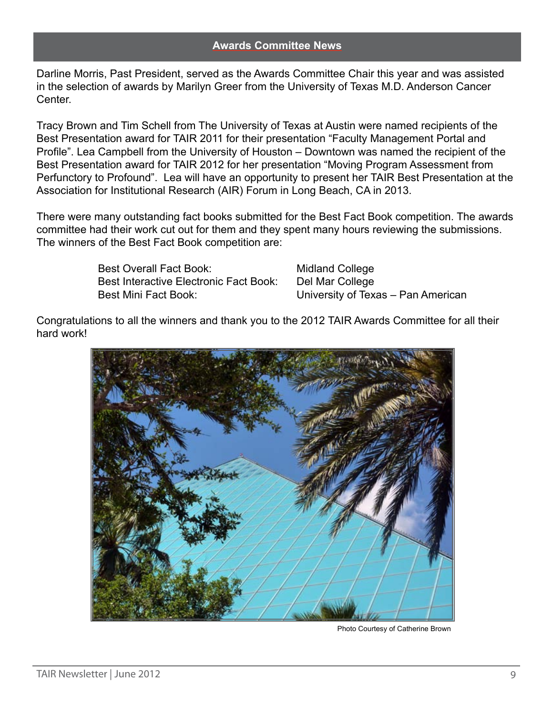Darline Morris, Past President, served as the Awards Committee Chair this year and was assisted in the selection of awards by Marilyn Greer from the University of Texas M.D. Anderson Cancer Center.

Tracy Brown and Tim Schell from The University of Texas at Austin were named recipients of the Best Presentation award for TAIR 2011 for their presentation "Faculty Management Portal and Profile". Lea Campbell from the University of Houston – Downtown was named the recipient of the Best Presentation award for TAIR 2012 for her presentation "Moving Program Assessment from Perfunctory to Profound". Lea will have an opportunity to present her TAIR Best Presentation at the Association for Institutional Research (AIR) Forum in Long Beach, CA in 2013.

There were many outstanding fact books submitted for the Best Fact Book competition. The awards committee had their work cut out for them and they spent many hours reviewing the submissions. The winners of the Best Fact Book competition are:

> Best Overall Fact Book: Midland College Best Interactive Electronic Fact Book: Del Mar College Best Mini Fact Book: University of Texas – Pan American

Congratulations to all the winners and thank you to the 2012 TAIR Awards Committee for all their hard work!



Photo Courtesy of Catherine Brown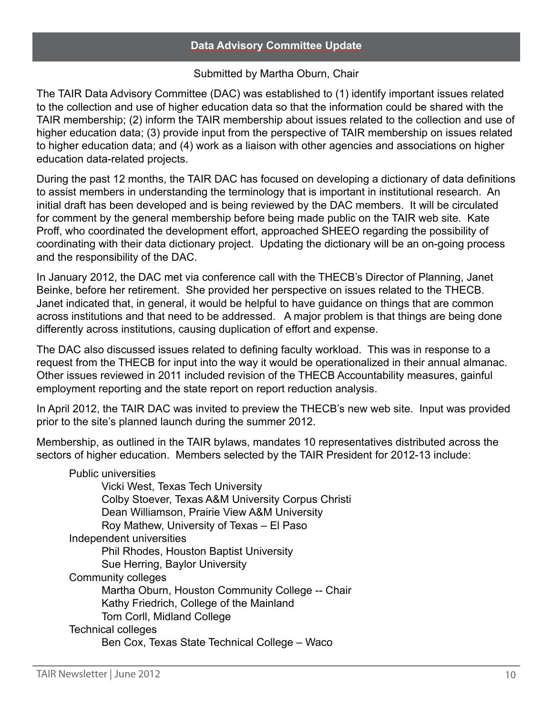## Submitted by Martha Oburn, Chair

The TAIR Data Advisory Committee (DAC) was established to (1) identify important issues related to the collection and use of higher education data so that the information could be shared with the TAIR membership; (2) inform the TAIR membership about issues related to the collection and use of higher education data; (3) provide input from the perspective of TAIR membership on issues related to higher education data; and (4) work as a liaison with other agencies and associations on higher education data-related projects.

During the past 12 months, the TAIR DAC has focused on developing a dictionary of data definitions to assist members in understanding the terminology that is important in institutional research. An initial draft has been developed and is being reviewed by the DAC members. It will be circulated for comment by the general membership before being made public on the TAIR web site. Kate Proff, who coordinated the development effort, approached SHEEO regarding the possibility of coordinating with their data dictionary project. Updating the dictionary will be an on-going process and the responsibility of the DAC.

In January 2012, the DAC met via conference call with the THECB's Director of Planning, Janet Beinke, before her retirement. She provided her perspective on issues related to the THECB. Janet indicated that, in general, it would be helpful to have guidance on things that are common across institutions and that need to be addressed. A major problem is that things are being done differently across institutions, causing duplication of effort and expense.

The DAC also discussed issues related to defining faculty workload. This was in response to a request from the THECB for input into the way it would be operationalized in their annual almanac. Other issues reviewed in 2011 included revision of the THECB Accountability measures, gainful employment reporting and the state report on report reduction analysis.

In April 2012, the TAIR DAC was invited to preview the THECB's new web site. Input was provided prior to the site's planned launch during the summer 2012.

Membership, as outlined in the TAIR bylaws, mandates 10 representatives distributed across the sectors of higher education. Members selected by the TAIR President for 2012-13 include:

Public universities Vicki West, Texas Tech University Colby Stoever, Texas A&M University Corpus Christi Dean Williamson, Prairie View A&M University Roy Mathew, University of Texas – El Paso Independent universities Phil Rhodes, Houston Baptist University Sue Herring, Baylor University Community colleges Martha Oburn, Houston Community College -- Chair Kathy Friedrich, College of the Mainland Tom Corll, Midland College Technical colleges Ben Cox, Texas State Technical College – Waco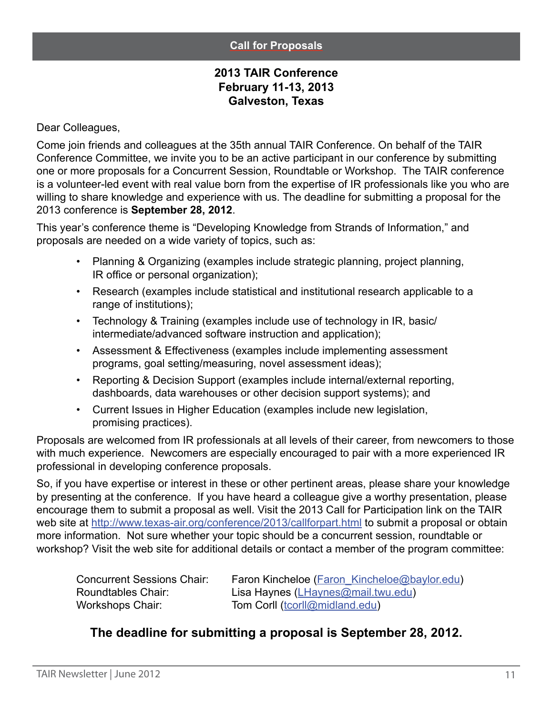#### **Call for Proposals**

# **2013 TAIR Conference February 11-13, 2013 Galveston, Texas**

Dear Colleagues,

Come join friends and colleagues at the 35th annual TAIR Conference. On behalf of the TAIR Conference Committee, we invite you to be an active participant in our conference by submitting one or more proposals for a Concurrent Session, Roundtable or Workshop. The TAIR conference is a volunteer-led event with real value born from the expertise of IR professionals like you who are willing to share knowledge and experience with us. The deadline for submitting a proposal for the 2013 conference is **September 28, 2012**.

This year's conference theme is "Developing Knowledge from Strands of Information," and proposals are needed on a wide variety of topics, such as:

- Planning & Organizing (examples include strategic planning, project planning, IR office or personal organization);
- Research (examples include statistical and institutional research applicable to a range of institutions);
- Technology & Training (examples include use of technology in IR, basic/ intermediate/advanced software instruction and application);
- Assessment & Effectiveness (examples include implementing assessment programs, goal setting/measuring, novel assessment ideas);
- Reporting & Decision Support (examples include internal/external reporting, dashboards, data warehouses or other decision support systems); and
- Current Issues in Higher Education (examples include new legislation, promising practices).

Proposals are welcomed from IR professionals at all levels of their career, from newcomers to those with much experience. Newcomers are especially encouraged to pair with a more experienced IR professional in developing conference proposals.

So, if you have expertise or interest in these or other pertinent areas, please share your knowledge by presenting at the conference. If you have heard a colleague give a worthy presentation, please encourage them to submit a proposal as well. Visit the 2013 Call for Participation link on the TAIR web site at<http://www.texas-air.org/conference/2013/callforpart.html>to submit a proposal or obtain more information. Not sure whether your topic should be a concurrent session, roundtable or workshop? Visit the web site for additional details or contact a member of the program committee:

| <b>Concurrent Sessions Chair:</b> | Faron Kincheloe (Faron Kincheloe@baylor.edu) |
|-----------------------------------|----------------------------------------------|
| Roundtables Chair:                | Lisa Haynes (LHaynes@mail.twu.edu)           |
| Workshops Chair:                  | Tom Corll (tcorll@midland.edu)               |

# **The deadline for submitting a proposal is September 28, 2012.**